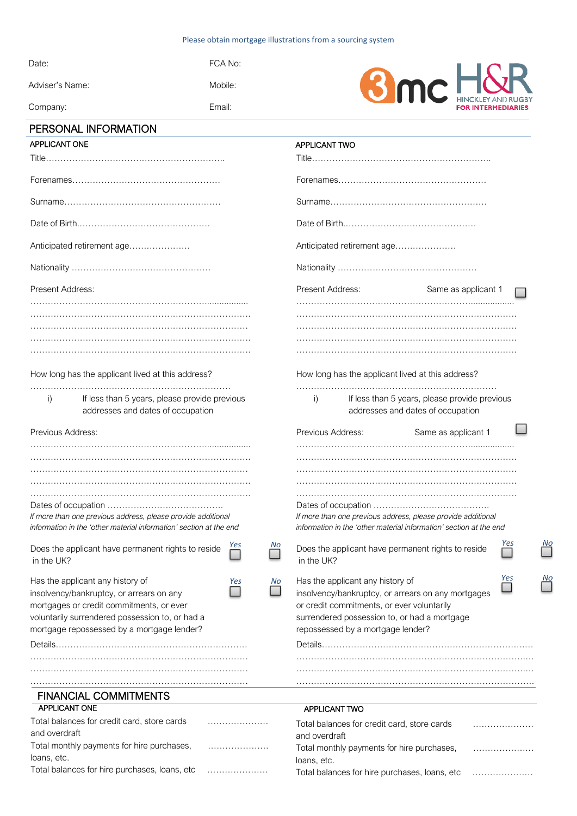#### Please obtain mortgage illustrations from a sourcing system

| PERSONAL INFORMATION |         |
|----------------------|---------|
| Company:             | Fmail:  |
| Adviser's Name:      | Mobile: |
| Date:                | FCA No: |



| <b>APPLICANT ONE</b>                                                                                                                                                                                                                   | APPLICANT TWO                                                                                                                                                                                                                          |
|----------------------------------------------------------------------------------------------------------------------------------------------------------------------------------------------------------------------------------------|----------------------------------------------------------------------------------------------------------------------------------------------------------------------------------------------------------------------------------------|
| Title……………………………………………………………                                                                                                                                                                                                           |                                                                                                                                                                                                                                        |
|                                                                                                                                                                                                                                        |                                                                                                                                                                                                                                        |
|                                                                                                                                                                                                                                        |                                                                                                                                                                                                                                        |
|                                                                                                                                                                                                                                        |                                                                                                                                                                                                                                        |
| Anticipated retirement age                                                                                                                                                                                                             | Anticipated retirement age                                                                                                                                                                                                             |
|                                                                                                                                                                                                                                        |                                                                                                                                                                                                                                        |
| Present Address:                                                                                                                                                                                                                       | Present Address:<br>Same as applicant 1                                                                                                                                                                                                |
|                                                                                                                                                                                                                                        |                                                                                                                                                                                                                                        |
|                                                                                                                                                                                                                                        |                                                                                                                                                                                                                                        |
| How long has the applicant lived at this address?                                                                                                                                                                                      | How long has the applicant lived at this address?                                                                                                                                                                                      |
| If less than 5 years, please provide previous<br>$\vert$ )<br>addresses and dates of occupation                                                                                                                                        | If less than 5 years, please provide previous<br>i)<br>addresses and dates of occupation                                                                                                                                               |
| Previous Address:                                                                                                                                                                                                                      | Previous Address:<br>Same as applicant 1                                                                                                                                                                                               |
|                                                                                                                                                                                                                                        |                                                                                                                                                                                                                                        |
|                                                                                                                                                                                                                                        |                                                                                                                                                                                                                                        |
|                                                                                                                                                                                                                                        |                                                                                                                                                                                                                                        |
|                                                                                                                                                                                                                                        |                                                                                                                                                                                                                                        |
|                                                                                                                                                                                                                                        |                                                                                                                                                                                                                                        |
| If more than one previous address, please provide additional                                                                                                                                                                           | If more than one previous address, please provide additional                                                                                                                                                                           |
| information in the 'other material information' section at the end                                                                                                                                                                     | information in the 'other material information' section at the end                                                                                                                                                                     |
| <b>NO</b><br>Does the applicant have permanent rights to reside<br>in the UK?                                                                                                                                                          | No<br>Yes<br>Does the applicant have permanent rights to reside<br>in the UK?                                                                                                                                                          |
| Has the applicant any history of<br>No<br>Yes<br>insolvency/bankruptcy, or arrears on any<br>mortgages or credit commitments, or ever<br>voluntarily surrendered possession to, or had a<br>mortgage repossessed by a mortgage lender? | Yes<br>No<br>Has the applicant any history of<br>insolvency/bankruptcy, or arrears on any mortgages<br>or credit commitments, or ever voluntarily<br>surrendered possession to, or had a mortgage<br>repossessed by a mortgage lender? |
|                                                                                                                                                                                                                                        |                                                                                                                                                                                                                                        |
|                                                                                                                                                                                                                                        |                                                                                                                                                                                                                                        |
|                                                                                                                                                                                                                                        |                                                                                                                                                                                                                                        |
|                                                                                                                                                                                                                                        |                                                                                                                                                                                                                                        |
| <b>FINANCIAL COMMITMENTS</b>                                                                                                                                                                                                           |                                                                                                                                                                                                                                        |
| APPLICANT ONE                                                                                                                                                                                                                          | <b>APPLICANT TWO</b>                                                                                                                                                                                                                   |
| Total balances for credit card, store cards<br>and overdraft                                                                                                                                                                           | Total balances for credit card, store cards                                                                                                                                                                                            |
| Total monthly payments for hire purchases,                                                                                                                                                                                             | and overdraft<br>Total monthly payments for hire purchases,                                                                                                                                                                            |
| loans, etc.                                                                                                                                                                                                                            | loans, etc.                                                                                                                                                                                                                            |

| Total balances for hire purchases, loans, etc |  |
|-----------------------------------------------|--|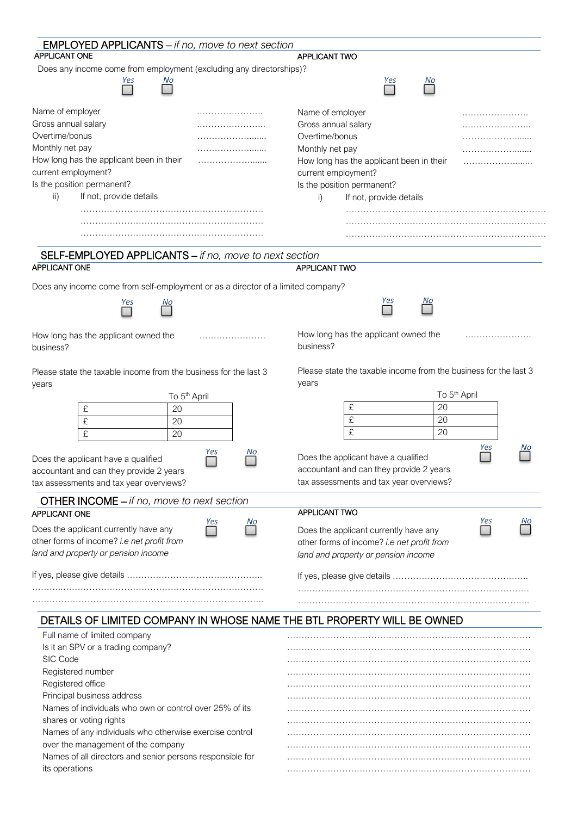| <b>EMPLOYED APPLICANTS</b> – if no, move to next section<br><b>APPLICANT ONE</b>            | APPLICANT TWO                                                                               |
|---------------------------------------------------------------------------------------------|---------------------------------------------------------------------------------------------|
| Does any income come from employment (excluding any directorships)?                         |                                                                                             |
| Yes<br>No                                                                                   | Yes<br>No                                                                                   |
| Name of employer                                                                            | Name of employer                                                                            |
| Gross annual salary                                                                         | Gross annual salary                                                                         |
| Overtime/bonus                                                                              | Overtime/bonus                                                                              |
| Monthly net pay                                                                             | Monthly net pay                                                                             |
| How long has the applicant been in their                                                    | How long has the applicant been in their                                                    |
| current employment?                                                                         | current employment?                                                                         |
| Is the position permanent?                                                                  | Is the position permanent?                                                                  |
| If not, provide details<br>ii)                                                              | If not, provide details<br>i)                                                               |
|                                                                                             |                                                                                             |
|                                                                                             |                                                                                             |
|                                                                                             |                                                                                             |
| SELF-EMPLOYED APPLICANTS - if no, move to next section                                      |                                                                                             |
| <b>APPLICANT ONE</b>                                                                        | <b>APPLICANT TWO</b>                                                                        |
| Does any income come from self-employment or as a director of a limited company?            |                                                                                             |
| Yes<br>No                                                                                   | Yes<br>No                                                                                   |
| How long has the applicant owned the<br>business?                                           | How long has the applicant owned the<br>business?                                           |
| Please state the taxable income from the business for the last 3<br>years                   | Please state the taxable income from the business for the last 3<br>years                   |
| To 5 <sup>th</sup> April                                                                    | To 5 <sup>th</sup> April                                                                    |
| 20<br>£                                                                                     | 20<br>£                                                                                     |
| £<br>20                                                                                     | £<br>20                                                                                     |
| £<br>20                                                                                     | £<br>20                                                                                     |
| Yes<br>No<br>Does the applicant have a qualified<br>accountant and can they provide 2 years | Yes<br>Νo<br>Does the applicant have a qualified<br>accountant and can they provide 2 years |
| tax assessments and tax year overviews?                                                     | tax assessments and tax year overviews?                                                     |
| <b>OTHER INCOME</b> – if no, move to next section                                           |                                                                                             |
| APPLICANT ONE                                                                               | APPLICANT TWO<br>Yes<br>No                                                                  |
| Yes<br>No<br>Does the applicant currently have any                                          | Does the applicant currently have any                                                       |
| other forms of income? i.e net profit from                                                  | other forms of income? i.e net profit from                                                  |
| land and property or pension income                                                         | land and property or pension income                                                         |
|                                                                                             |                                                                                             |
|                                                                                             |                                                                                             |
| DETAILS OF LIMITED COMPANY IN WHOSE NAME THE BTL PROPERTY WILL BE OWNED                     |                                                                                             |
| Full name of limited company                                                                |                                                                                             |
| Is it an SPV or a trading company?                                                          |                                                                                             |
| SIC Code                                                                                    |                                                                                             |
| Registered number                                                                           |                                                                                             |
| Registered office                                                                           |                                                                                             |
| Principal business address                                                                  |                                                                                             |
| Names of individuals who own or control over 25% of its                                     |                                                                                             |
| shares or voting rights<br>Names of any individuals who otherwise exercise control          |                                                                                             |
| over the management of the company                                                          |                                                                                             |
| Names of all directors and senior persons responsible for                                   |                                                                                             |
| its operations                                                                              |                                                                                             |
|                                                                                             |                                                                                             |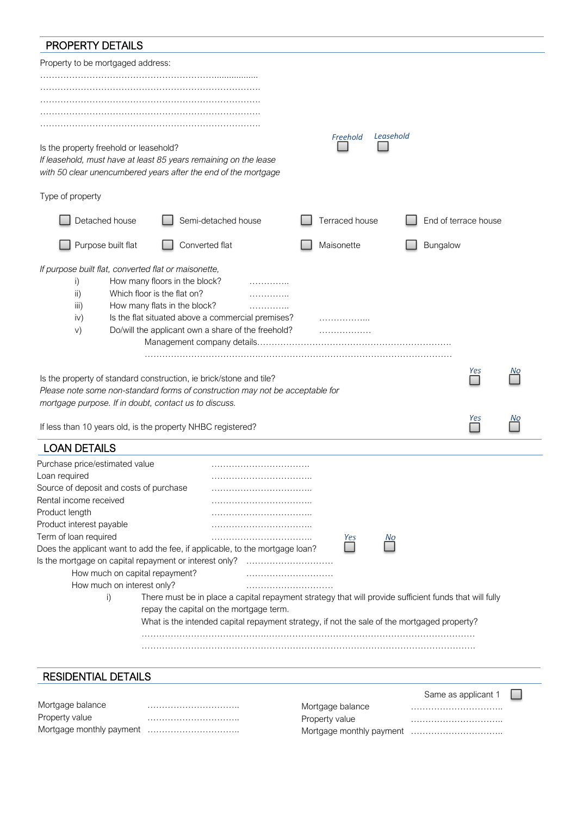# PROPERTY DETAILS

Mortgage monthly payment …………………………..

| Property to be mortgaged address:                                                                                      |                                                                                                                                                                                                                                                  |                                    |           |                      |          |
|------------------------------------------------------------------------------------------------------------------------|--------------------------------------------------------------------------------------------------------------------------------------------------------------------------------------------------------------------------------------------------|------------------------------------|-----------|----------------------|----------|
|                                                                                                                        |                                                                                                                                                                                                                                                  |                                    |           |                      |          |
|                                                                                                                        |                                                                                                                                                                                                                                                  |                                    |           |                      |          |
|                                                                                                                        |                                                                                                                                                                                                                                                  |                                    |           |                      |          |
|                                                                                                                        |                                                                                                                                                                                                                                                  |                                    |           |                      |          |
| Is the property freehold or leasehold?                                                                                 | If leasehold, must have at least 85 years remaining on the lease<br>with 50 clear unencumbered years after the end of the mortgage                                                                                                               | Freehold                           | Leasehold |                      |          |
| Type of property                                                                                                       |                                                                                                                                                                                                                                                  |                                    |           |                      |          |
| Detached house                                                                                                         | Semi-detached house                                                                                                                                                                                                                              | Terraced house                     |           | End of terrace house |          |
| Purpose built flat                                                                                                     | Converted flat                                                                                                                                                                                                                                   | Maisonette                         | Bungalow  |                      |          |
| If purpose built flat, converted flat or maisonette,<br>i)<br>$\mathsf{ii}$<br>iii)<br>iv)<br>V)                       | How many floors in the block?<br>.<br>Which floor is the flat on?<br>.<br>How many flats in the block?<br>.<br>Is the flat situated above a commercial premises?<br>Do/will the applicant own a share of the freehold?                           | .<br>.                             |           |                      |          |
| mortgage purpose. If in doubt, contact us to discuss.                                                                  | Is the property of standard construction, ie brick/stone and tile?<br>Please note some non-standard forms of construction may not be acceptable for<br>If less than 10 years old, is the property NHBC registered?                               |                                    |           | Yes<br>Yes           | Νo<br>Νo |
| <b>LOAN DETAILS</b>                                                                                                    |                                                                                                                                                                                                                                                  |                                    |           |                      |          |
| Purchase price/estimated value<br>Loan required<br>Source of deposit and costs of purchase                             |                                                                                                                                                                                                                                                  |                                    |           |                      |          |
| Rental income received<br>Product length                                                                               |                                                                                                                                                                                                                                                  |                                    |           |                      |          |
| Product interest payable<br>Term of loan required                                                                      |                                                                                                                                                                                                                                                  | Yes                                | No        |                      |          |
| Is the mortgage on capital repayment or interest only?<br>How much on capital repayment?<br>How much on interest only? | Does the applicant want to add the fee, if applicable, to the mortgage loan?                                                                                                                                                                     |                                    |           |                      |          |
| i)                                                                                                                     | There must be in place a capital repayment strategy that will provide sufficient funds that will fully<br>repay the capital on the mortgage term.<br>What is the intended capital repayment strategy, if not the sale of the mortgaged property? |                                    |           |                      |          |
|                                                                                                                        |                                                                                                                                                                                                                                                  |                                    |           |                      |          |
| <b>RESIDENTIAL DETAILS</b>                                                                                             |                                                                                                                                                                                                                                                  |                                    |           |                      |          |
| Mortgage balance<br>Property value                                                                                     |                                                                                                                                                                                                                                                  | Mortgage balance<br>Property value |           | Same as applicant 1  |          |

| Mortgage balance |  |
|------------------|--|
| Property value   |  |
|                  |  |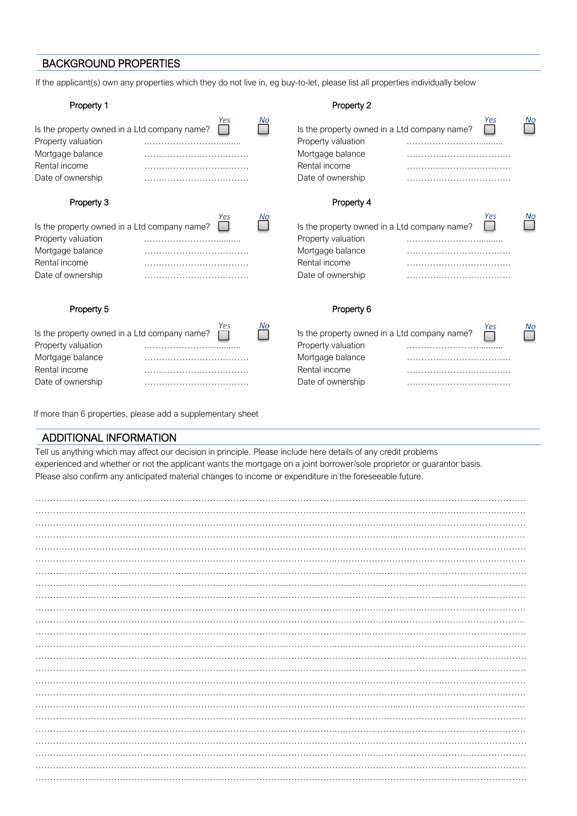### BACKGROUND PROPERTIES

If the applicant(s) own any properties which they do not live in, eg buy-to-let, please list all properties individually below

| Property 1                                                                                                                   |     |    | Property 2                                                                                                                   |          |    |
|------------------------------------------------------------------------------------------------------------------------------|-----|----|------------------------------------------------------------------------------------------------------------------------------|----------|----|
| Is the property owned in a Ltd company name?<br>Property valuation<br>Mortgage balance<br>Rental income<br>Date of ownership | Yes | No | Is the property owned in a Ltd company name?<br>Property valuation<br>Mortgage balance<br>Rental income<br>Date of ownership | Yes      | No |
| Property 3                                                                                                                   |     |    | Property 4                                                                                                                   |          |    |
| Is the property owned in a Ltd company name?<br>Property valuation<br>Mortgage balance<br>Rental income<br>Date of ownership | Yes | No | Is the property owned in a Ltd company name?<br>Property valuation<br>Mortgage balance<br>Rental income<br>Date of ownership | Yes      | No |
| Property 5                                                                                                                   |     |    | Property 6                                                                                                                   |          |    |
| Is the property owned in a Ltd company name?<br>Property valuation<br>Mortgage balance<br>Rental income<br>Date of ownership | Yes | No | Is the property owned in a Ltd company name?<br>Property valuation<br>Mortgage balance<br>Rental income<br>Date of ownership | Yes<br>. | No |

If more than 6 properties, please add a supplementary sheet

#### ADDITIONAL INFORMATION

Tell us anything which may affect our decision in principle. Please include here details of any credit problems experienced and whether or not the applicant wants the mortgage on a joint borrower/sole proprietor or guarantor basis. Please also confirm any anticipated material changes to income or expenditure in the foreseeable future.